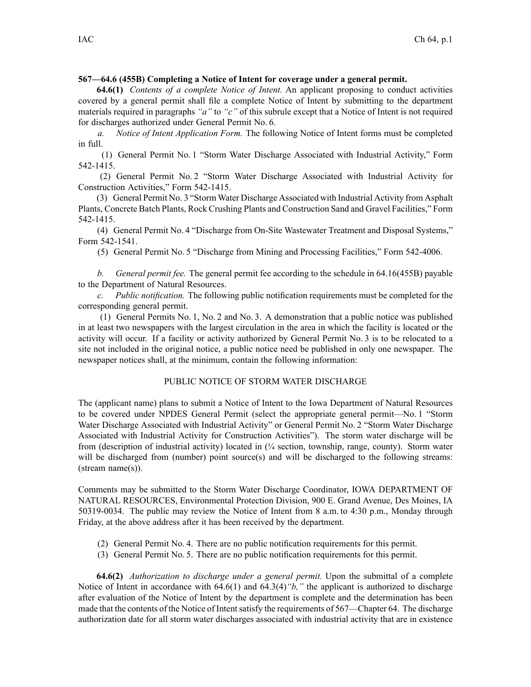## **567—64.6 (455B) Completing <sup>a</sup> Notice of Intent for coverage under <sup>a</sup> general permit.**

**64.6(1)** *Contents of <sup>a</sup> complete Notice of Intent.* An applicant proposing to conduct activities covered by <sup>a</sup> general permit shall file <sup>a</sup> complete Notice of Intent by submitting to the department materials required in paragraphs *"a"* to *"c"* of this subrule excep<sup>t</sup> that <sup>a</sup> Notice of Intent is not required for discharges authorized under General Permit No. 6.

*a. Notice of Intent Application Form.* The following Notice of Intent forms must be completed in full.

(1) General Permit No. 1 "Storm Water Discharge Associated with Industrial Activity," Form 542-1415.

(2) General Permit No. 2 "Storm Water Discharge Associated with Industrial Activity for Construction Activities," Form 542-1415.

(3) General Permit No. 3 "Storm Water Discharge Associated with Industrial Activity from Asphalt Plants, Concrete Batch Plants, Rock Crushing Plants and Construction Sand and Gravel Facilities," Form 542-1415.

(4) General Permit No. 4 "Discharge from On-Site Wastewater Treatment and Disposal Systems," Form 542-1541.

(5) General Permit No. 5 "Discharge from Mining and Processing Facilities," Form 542-4006.

*b. General permit fee.* The general permit fee according to the schedule in 64.16(455B) payable to the Department of Natural Resources.

*c. Public notification.* The following public notification requirements must be completed for the corresponding general permit.

(1) General Permits No. 1, No. 2 and No. 3. A demonstration that <sup>a</sup> public notice was published in at least two newspapers with the largest circulation in the area in which the facility is located or the activity will occur. If <sup>a</sup> facility or activity authorized by General Permit No. 3 is to be relocated to <sup>a</sup> site not included in the original notice, <sup>a</sup> public notice need be published in only one newspaper. The newspaper notices shall, at the minimum, contain the following information:

## PUBLIC NOTICE OF STORM WATER DISCHARGE

The (applicant name) plans to submit <sup>a</sup> Notice of Intent to the Iowa Department of Natural Resources to be covered under NPDES General Permit (select the appropriate general permit—No. 1 "Storm Water Discharge Associated with Industrial Activity" or General Permit No. 2 "Storm Water Discharge Associated with Industrial Activity for Construction Activities"). The storm water discharge will be from (description of industrial activity) located in (¼ section, township, range, county). Storm water will be discharged from (number) point source(s) and will be discharged to the following streams: (stream name(s)).

Comments may be submitted to the Storm Water Discharge Coordinator, IOWA DEPARTMENT OF NATURAL RESOURCES, Environmental Protection Division, 900 E. Grand Avenue, Des Moines, IA 50319-0034. The public may review the Notice of Intent from 8 a.m. to 4:30 p.m., Monday through Friday, at the above address after it has been received by the department.

- (2) General Permit No. 4. There are no public notification requirements for this permit.
- (3) General Permit No. 5. There are no public notification requirements for this permit.

**64.6(2)** *Authorization to discharge under <sup>a</sup> general permit.* Upon the submittal of <sup>a</sup> complete Notice of Intent in accordance with 64.6(1) and 64.3(4)*"b,"* the applicant is authorized to discharge after evaluation of the Notice of Intent by the department is complete and the determination has been made that the contents of the Notice of Intent satisfy the requirements of 567—Chapter 64. The discharge authorization date for all storm water discharges associated with industrial activity that are in existence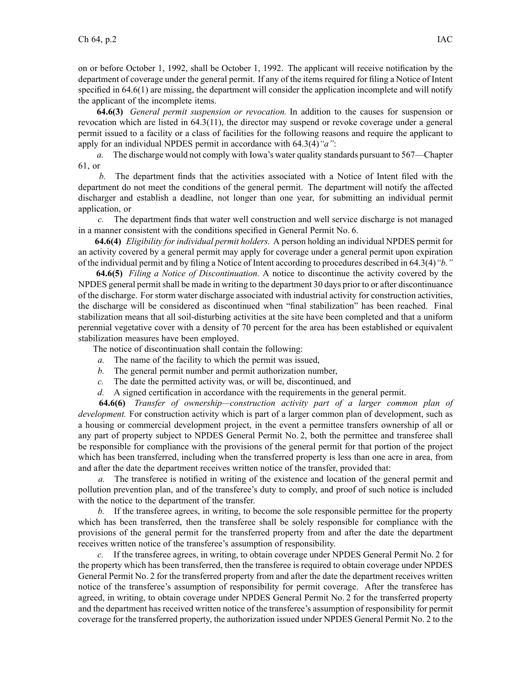on or before October 1, 1992, shall be October 1, 1992. The applicant will receive notification by the department of coverage under the general permit. If any of the items required for filing <sup>a</sup> Notice of Intent specified in 64.6(1) are missing, the department will consider the application incomplete and will notify the applicant of the incomplete items.

**64.6(3)** *General permit suspension or revocation.* In addition to the causes for suspension or revocation which are listed in 64.3(11), the director may suspend or revoke coverage under <sup>a</sup> general permit issued to <sup>a</sup> facility or <sup>a</sup> class of facilities for the following reasons and require the applicant to apply for an individual NPDES permit in accordance with 64.3(4)*"a"*:

*a.* The discharge would not comply with Iowa's water quality standards pursuan<sup>t</sup> to 567—Chapter 61, or

*b.* The department finds that the activities associated with <sup>a</sup> Notice of Intent filed with the department do not meet the conditions of the general permit. The department will notify the affected discharger and establish <sup>a</sup> deadline, not longer than one year, for submitting an individual permit application, or

*c.* The department finds that water well construction and well service discharge is not managed in <sup>a</sup> manner consistent with the conditions specified in General Permit No. 6.

**64.6(4)** *Eligibility for individual permit holders.* A person holding an individual NPDES permit for an activity covered by <sup>a</sup> general permit may apply for coverage under <sup>a</sup> general permit upon expiration of the individual permit and by filing <sup>a</sup> Notice of Intent according to procedures described in 64.3(4)*"b."*

**64.6(5)** *Filing <sup>a</sup> Notice of Discontinuation.* A notice to discontinue the activity covered by the NPDES general permitshall be made in writing to the department 30 days prior to or after discontinuance of the discharge. For storm water discharge associated with industrial activity for construction activities, the discharge will be considered as discontinued when "final stabilization" has been reached. Final stabilization means that all soil-disturbing activities at the site have been completed and that <sup>a</sup> uniform perennial vegetative cover with <sup>a</sup> density of 70 percen<sup>t</sup> for the area has been established or equivalent stabilization measures have been employed.

The notice of discontinuation shall contain the following:

- *a.* The name of the facility to which the permit was issued,
- *b.* The general permit number and permit authorization number,
- *c.* The date the permitted activity was, or will be, discontinued, and
- *d.* A signed certification in accordance with the requirements in the general permit.

**64.6(6)** *Transfer of ownership—construction activity par<sup>t</sup> of <sup>a</sup> larger common plan of development.* For construction activity which is par<sup>t</sup> of <sup>a</sup> larger common plan of development, such as <sup>a</sup> housing or commercial development project, in the event <sup>a</sup> permittee transfers ownership of all or any par<sup>t</sup> of property subject to NPDES General Permit No. 2, both the permittee and transferee shall be responsible for compliance with the provisions of the general permit for that portion of the project which has been transferred, including when the transferred property is less than one acre in area, from and after the date the department receives written notice of the transfer, provided that:

*a.* The transferee is notified in writing of the existence and location of the general permit and pollution prevention plan, and of the transferee's duty to comply, and proof of such notice is included with the notice to the department of the transfer.

*b.* If the transferee agrees, in writing, to become the sole responsible permittee for the property which has been transferred, then the transferee shall be solely responsible for compliance with the provisions of the general permit for the transferred property from and after the date the department receives written notice of the transferee's assumption of responsibility.

*c.* If the transferee agrees, in writing, to obtain coverage under NPDES General Permit No. 2 for the property which has been transferred, then the transferee is required to obtain coverage under NPDES General Permit No. 2 for the transferred property from and after the date the department receives written notice of the transferee's assumption of responsibility for permit coverage. After the transferee has agreed, in writing, to obtain coverage under NPDES General Permit No. 2 for the transferred property and the department has received written notice of the transferee's assumption of responsibility for permit coverage for the transferred property, the authorization issued under NPDES General Permit No. 2 to the